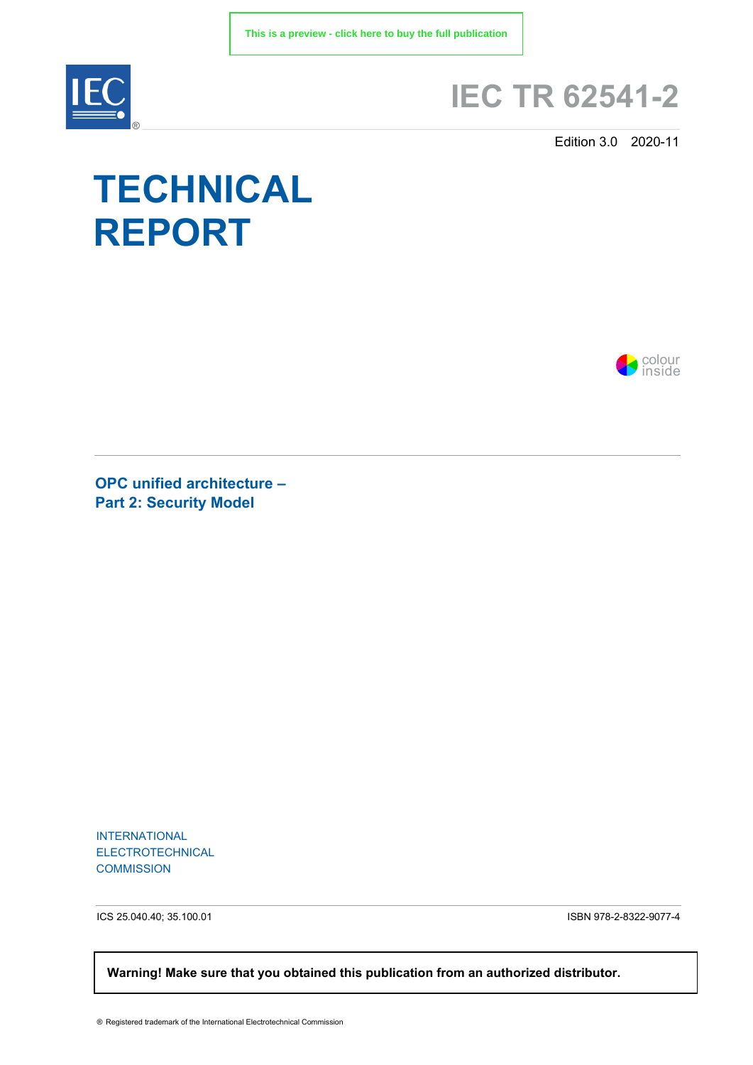

## **IEC TR 62541-2**

Edition 3.0 2020-11

# **TECHNICAL REPORT**



**OPC unified architecture – Part 2: Security Model** 

INTERNATIONAL ELECTROTECHNICAL **COMMISSION** 

ICS 25.040.40; 35.100.01 ISBN 978-2-8322-9077-4

 **Warning! Make sure that you obtained this publication from an authorized distributor.**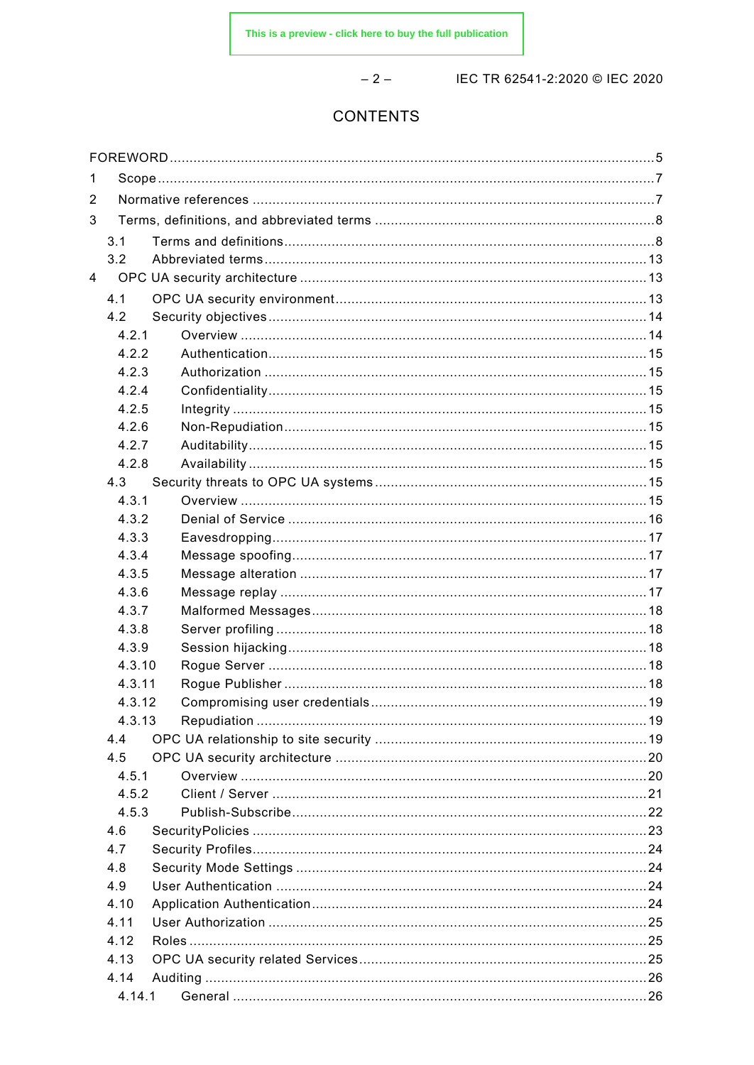$-2-$ 

IEC TR 62541-2:2020 © IEC 2020

### **CONTENTS**

| 1 |                |  |  |  |  |
|---|----------------|--|--|--|--|
| 2 |                |  |  |  |  |
| 3 |                |  |  |  |  |
|   | 3.1            |  |  |  |  |
|   | 3.2            |  |  |  |  |
| 4 |                |  |  |  |  |
|   | 4.1            |  |  |  |  |
|   | 4.2            |  |  |  |  |
|   | 4.2.1          |  |  |  |  |
|   | 4.2.2          |  |  |  |  |
|   | 4.2.3          |  |  |  |  |
|   | 4.2.4          |  |  |  |  |
|   | 4.2.5          |  |  |  |  |
|   | 4.2.6          |  |  |  |  |
|   | 4.2.7          |  |  |  |  |
|   | 4.2.8          |  |  |  |  |
|   | 4.3            |  |  |  |  |
|   | 4.3.1          |  |  |  |  |
|   | 4.3.2          |  |  |  |  |
|   | 4.3.3          |  |  |  |  |
|   | 4.3.4          |  |  |  |  |
|   | 4.3.5          |  |  |  |  |
|   | 4.3.6          |  |  |  |  |
|   | 4.3.7          |  |  |  |  |
|   | 4.3.8          |  |  |  |  |
|   | 4.3.9          |  |  |  |  |
|   | 4.3.10         |  |  |  |  |
|   | 4.3.11         |  |  |  |  |
|   | 4.3.12         |  |  |  |  |
|   | 4.3.13         |  |  |  |  |
|   | 4.4            |  |  |  |  |
|   | 4.5            |  |  |  |  |
|   | 4.5.1          |  |  |  |  |
|   | 4.5.2<br>4.5.3 |  |  |  |  |
|   | 4.6            |  |  |  |  |
|   | 4.7            |  |  |  |  |
|   | 4.8            |  |  |  |  |
|   | 4.9            |  |  |  |  |
|   | 4.10           |  |  |  |  |
|   | 4.11           |  |  |  |  |
|   | 4.12           |  |  |  |  |
|   | 4.13           |  |  |  |  |
|   | 4.14           |  |  |  |  |
|   | 4.14.1         |  |  |  |  |
|   |                |  |  |  |  |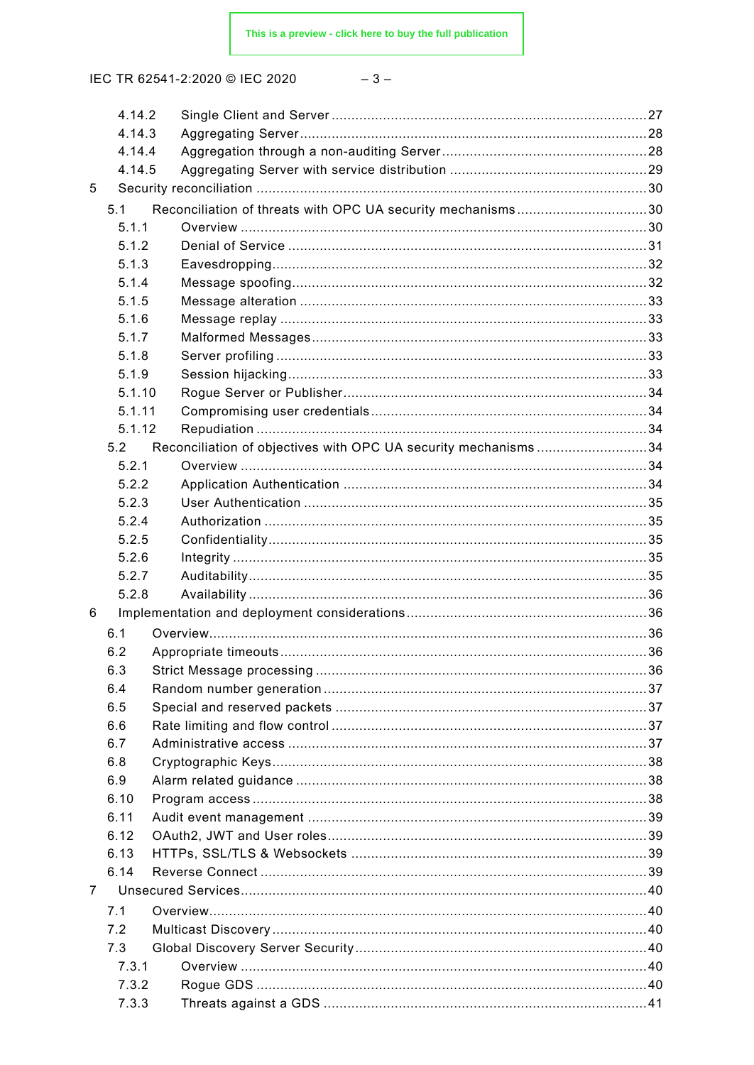IEC TR 62541-2:2020 © IEC 2020

|   | 4.14.2 |                                                                |  |
|---|--------|----------------------------------------------------------------|--|
|   | 4.14.3 |                                                                |  |
|   | 4.14.4 |                                                                |  |
|   | 4.14.5 |                                                                |  |
| 5 |        |                                                                |  |
|   | 5.1    | Reconciliation of threats with OPC UA security mechanisms30    |  |
|   | 5.1.1  |                                                                |  |
|   | 5.1.2  |                                                                |  |
|   | 5.1.3  |                                                                |  |
|   | 5.1.4  |                                                                |  |
|   | 5.1.5  |                                                                |  |
|   | 5.1.6  |                                                                |  |
|   | 5.1.7  |                                                                |  |
|   | 5.1.8  |                                                                |  |
|   | 5.1.9  |                                                                |  |
|   | 5.1.10 |                                                                |  |
|   | 5.1.11 |                                                                |  |
|   | 5.1.12 |                                                                |  |
|   | 5.2    | Reconciliation of objectives with OPC UA security mechanisms34 |  |
|   | 5.2.1  |                                                                |  |
|   | 5.2.2  |                                                                |  |
|   | 5.2.3  |                                                                |  |
|   | 5.2.4  |                                                                |  |
|   | 5.2.5  |                                                                |  |
|   | 5.2.6  |                                                                |  |
|   | 5.2.7  |                                                                |  |
|   | 5.2.8  |                                                                |  |
| 6 |        |                                                                |  |
|   | 6.1    |                                                                |  |
|   | 6.2    |                                                                |  |
|   | 6.3    |                                                                |  |
|   | 6.4    |                                                                |  |
|   | 6.5    |                                                                |  |
|   | 6.6    |                                                                |  |
|   | 6.7    |                                                                |  |
|   | 6.8    |                                                                |  |
|   | 6.9    |                                                                |  |
|   | 6.10   |                                                                |  |
|   | 6.11   |                                                                |  |
|   | 6.12   |                                                                |  |
|   | 6.13   |                                                                |  |
|   | 6.14   |                                                                |  |
|   |        |                                                                |  |
| 7 |        |                                                                |  |
|   | 7.1    |                                                                |  |
|   | 7.2    |                                                                |  |
|   | 7.3    |                                                                |  |
|   | 7.3.1  |                                                                |  |
|   | 7.3.2  |                                                                |  |
|   | 7.3.3  |                                                                |  |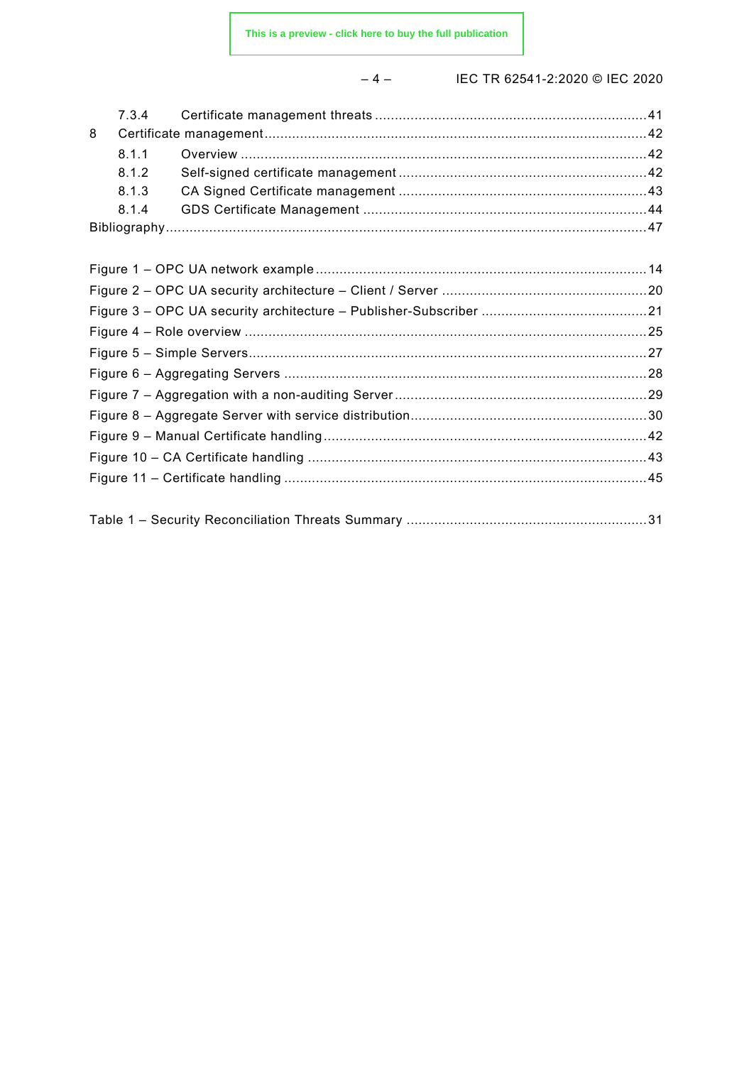– 4 – IEC TR 62541-2:2020 © IEC 2020

| 8 |       |  |
|---|-------|--|
|   | 811   |  |
|   | 8.1.2 |  |
|   | 8.1.3 |  |
|   | 8.1.4 |  |
|   |       |  |
|   |       |  |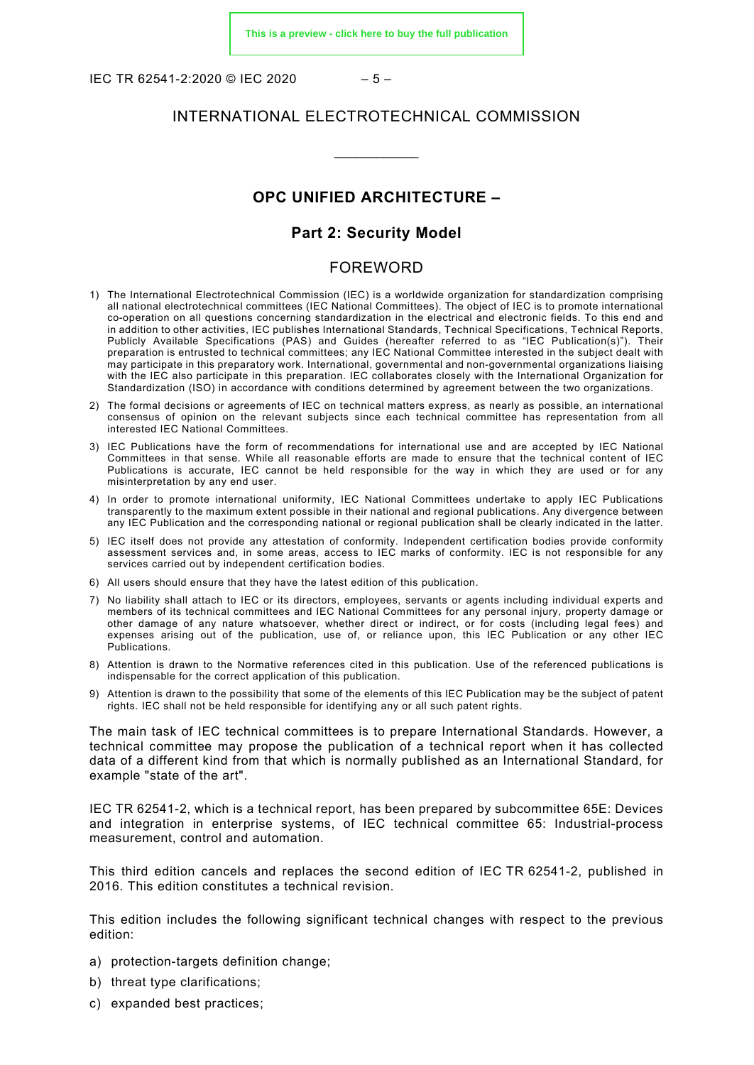IFC TR 62541-2:2020 © IFC 2020 – 5 –

#### INTERNATIONAL ELECTROTECHNICAL COMMISSION

\_\_\_\_\_\_\_\_\_\_\_\_

#### **OPC UNIFIED ARCHITECTURE –**

#### **Part 2: Security Model**

#### FOREWORD

- <span id="page-4-0"></span>1) The International Electrotechnical Commission (IEC) is a worldwide organization for standardization comprising all national electrotechnical committees (IEC National Committees). The object of IEC is to promote international co-operation on all questions concerning standardization in the electrical and electronic fields. To this end and in addition to other activities, IEC publishes International Standards, Technical Specifications, Technical Reports, Publicly Available Specifications (PAS) and Guides (hereafter referred to as "IEC Publication(s)"). Their preparation is entrusted to technical committees; any IEC National Committee interested in the subject dealt with may participate in this preparatory work. International, governmental and non-governmental organizations liaising with the IEC also participate in this preparation. IEC collaborates closely with the International Organization for Standardization (ISO) in accordance with conditions determined by agreement between the two organizations.
- 2) The formal decisions or agreements of IEC on technical matters express, as nearly as possible, an international consensus of opinion on the relevant subjects since each technical committee has representation from all interested IEC National Committees.
- 3) IEC Publications have the form of recommendations for international use and are accepted by IEC National Committees in that sense. While all reasonable efforts are made to ensure that the technical content of IEC Publications is accurate, IEC cannot be held responsible for the way in which they are used or for any misinterpretation by any end user.
- 4) In order to promote international uniformity, IEC National Committees undertake to apply IEC Publications transparently to the maximum extent possible in their national and regional publications. Any divergence between any IEC Publication and the corresponding national or regional publication shall be clearly indicated in the latter.
- 5) IEC itself does not provide any attestation of conformity. Independent certification bodies provide conformity assessment services and, in some areas, access to IEC marks of conformity. IEC is not responsible for any services carried out by independent certification bodies.
- 6) All users should ensure that they have the latest edition of this publication.
- 7) No liability shall attach to IEC or its directors, employees, servants or agents including individual experts and members of its technical committees and IEC National Committees for any personal injury, property damage or other damage of any nature whatsoever, whether direct or indirect, or for costs (including legal fees) and expenses arising out of the publication, use of, or reliance upon, this IEC Publication or any other IEC Publications.
- 8) Attention is drawn to the Normative references cited in this publication. Use of the referenced publications is indispensable for the correct application of this publication.
- 9) Attention is drawn to the possibility that some of the elements of this IEC Publication may be the subject of patent rights. IEC shall not be held responsible for identifying any or all such patent rights.

The main task of IEC technical committees is to prepare International Standards. However, a technical committee may propose the publication of a technical report when it has collected data of a different kind from that which is normally published as an International Standard, for example "state of the art".

IEC TR 62541-2, which is a technical report, has been prepared by subcommittee 65E: Devices and integration in enterprise systems, of IEC technical committee 65: Industrial-process measurement, control and automation.

This third edition cancels and replaces the second edition of IEC TR 62541-2, published in 2016. This edition constitutes a technical revision.

This edition includes the following significant technical changes with respect to the previous edition:

- a) protection-targets definition change;
- b) threat type clarifications;
- c) expanded best practices;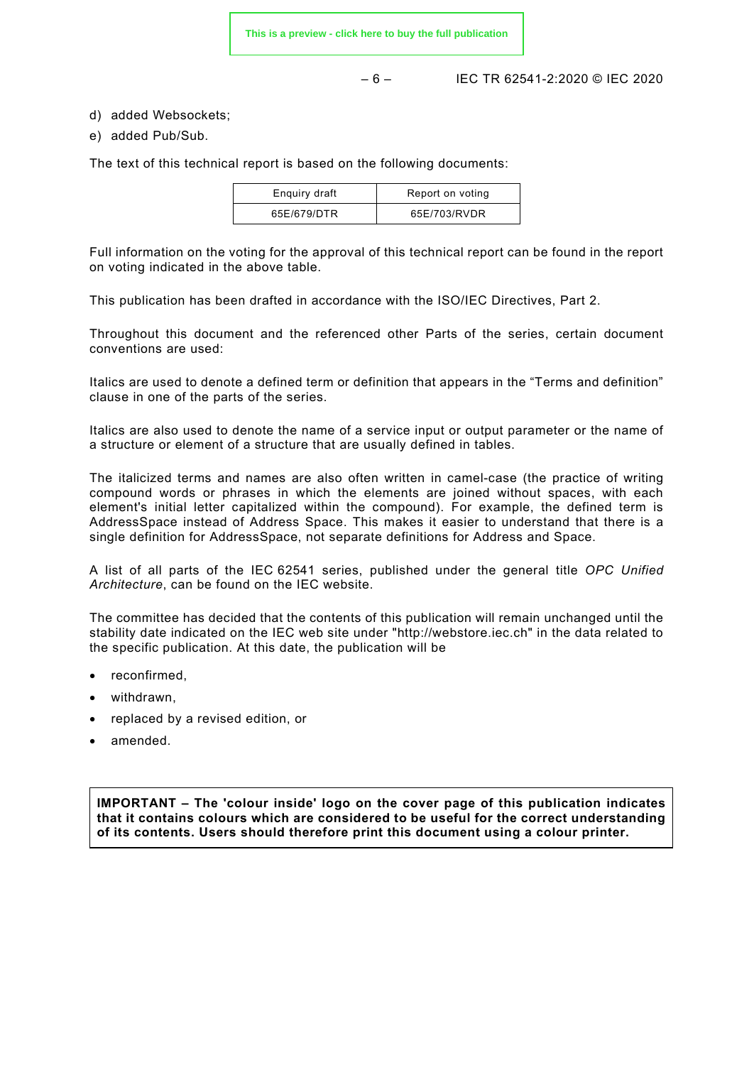**[This is a preview - click here to buy the full publication](https://webstore.iec.ch/publication/61110&preview)**

 $-6 -$  IFC TR 62541-2:2020 © IFC 2020

d) added Websockets;

e) added Pub/Sub.

The text of this technical report is based on the following documents:

| Enquiry draft | Report on voting |
|---------------|------------------|
| 65E/679/DTR   | 65E/703/RVDR     |

Full information on the voting for the approval of this technical report can be found in the report on voting indicated in the above table.

This publication has been drafted in accordance with the ISO/IEC Directives, Part 2.

Throughout this document and the referenced other Parts of the series, certain document conventions are used:

Italics are used to denote a defined term or definition that appears in the "Terms and definition" clause in one of the parts of the series.

Italics are also used to denote the name of a service input or output parameter or the name of a structure or element of a structure that are usually defined in tables.

The italicized terms and names are also often written in camel-case (the practice of writing compound words or phrases in which the elements are joined without spaces, with each element's initial letter capitalized within the compound). For example, the defined term is AddressSpace instead of Address Space. This makes it easier to understand that there is a single definition for AddressSpace, not separate definitions for Address and Space.

A list of all parts of the IEC 62541 series, published under the general title *OPC Unified Architecture*, can be found on the IEC website.

The committee has decided that the contents of this publication will remain unchanged until the stability date indicated on the IEC web site under "http://webstore.iec.ch" in the data related to the specific publication. At this date, the publication will be

- reconfirmed.
- withdrawn,
- replaced by a revised edition, or
- amended.

**IMPORTANT – The 'colour inside' logo on the cover page of this publication indicates that it contains colours which are considered to be useful for the correct understanding of its contents. Users should therefore print this document using a colour printer.**